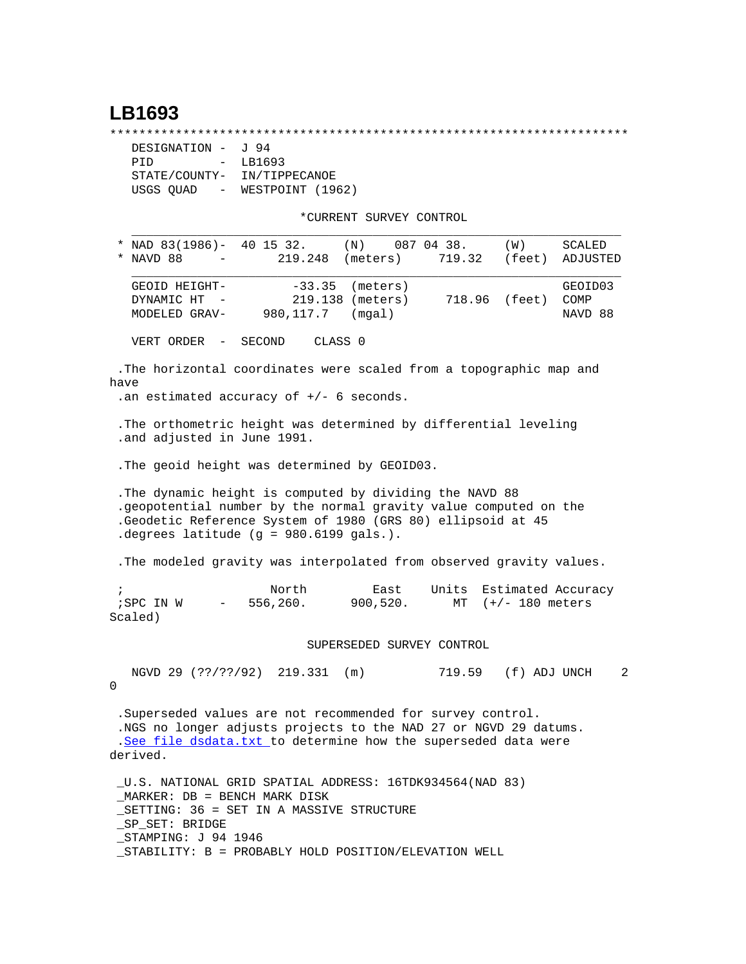## **LB1693**

\*\*\*\*\*\*\*\*\*\*\*\*\*\*\*\*\*\*\*\*\*\*\*\*\*\*\*\*\*\*\*\*\*\*\*\*\*\*\*\*\*\*\*\*\*\*\*\*\*\*\*\*\*\*\*\*\*\*\*\*\*\*\*\*\*\*\*\*\*\*\*

| DESIGNATION -                         | 94 - آ           |  |
|---------------------------------------|------------------|--|
| PTD<br>$-$                            | LB1693           |  |
| STATE/COUNTY-                         | IN/TIPPECANOE    |  |
| USGS QUAD<br>$\sim$ 100 $-$ 100 $\pm$ | WESTPOINT (1962) |  |

\*CURRENT SURVEY CONTROL

| * NAD $83(1986)$ - 40 15 32.<br>(N)<br>087 04 38.<br>(W)<br>SCALED<br>219.248<br>719.32<br>NAVD 88<br>(meters)<br>(feet)<br>ADJUSTED                                                                                                   |   |
|----------------------------------------------------------------------------------------------------------------------------------------------------------------------------------------------------------------------------------------|---|
| $-33.35$ (meters)<br>GEOID HEIGHT-<br>GEOID03<br>DYNAMIC HT<br>219.138 (meters)<br>718.96 (feet)<br>COMP<br>980,117.7<br>(mqal)<br>NAVD 88<br>MODELED GRAV-                                                                            |   |
| VERT ORDER -<br>SECOND<br>CLASS 0                                                                                                                                                                                                      |   |
| .The horizontal coordinates were scaled from a topographic map and<br>have<br>.an estimated accuracy of $+/-$ 6 seconds.                                                                                                               |   |
| . The orthometric height was determined by differential leveling<br>.and adjusted in June 1991.                                                                                                                                        |   |
| . The geoid height was determined by GEOID03.                                                                                                                                                                                          |   |
| The dynamic height is computed by dividing the NAVD 88<br>.geopotential number by the normal gravity value computed on the<br>.Geodetic Reference System of 1980 (GRS 80) ellipsoid at 45<br>.degrees latitude (g = 980.6199 gals.).   |   |
| . The modeled gravity was interpolated from observed gravity values.                                                                                                                                                                   |   |
| Units<br>North<br>East<br>Estimated Accuracy<br>$\ddot{i}$<br>556,260.<br>; SPC IN W<br>900,520.<br>$(+/- 180$ meters<br>MT<br>$\sim$ 100 $\mu$<br>Scaled)                                                                             |   |
| SUPERSEDED SURVEY CONTROL                                                                                                                                                                                                              |   |
| 719.59 (f) ADJ UNCH<br>NGVD 29 (??/??/92) 219.331 (m)<br>0                                                                                                                                                                             | 2 |
| .Superseded values are not recommended for survey control.<br>.NGS no longer adjusts projects to the NAD 27 or NGVD 29 datums.<br>.See file dsdata.txt to determine how the superseded data were<br>derived.                           |   |
| _U.S. NATIONAL GRID SPATIAL ADDRESS: 16TDK934564(NAD 83)<br>MARKER: DB = BENCH MARK DISK<br>SETTING: 36 = SET IN A MASSIVE STRUCTURE<br>_SP_SET: BRIDGE<br>STAMPING: J 94 1946<br>STABILITY: B = PROBABLY HOLD POSITION/ELEVATION WELL |   |